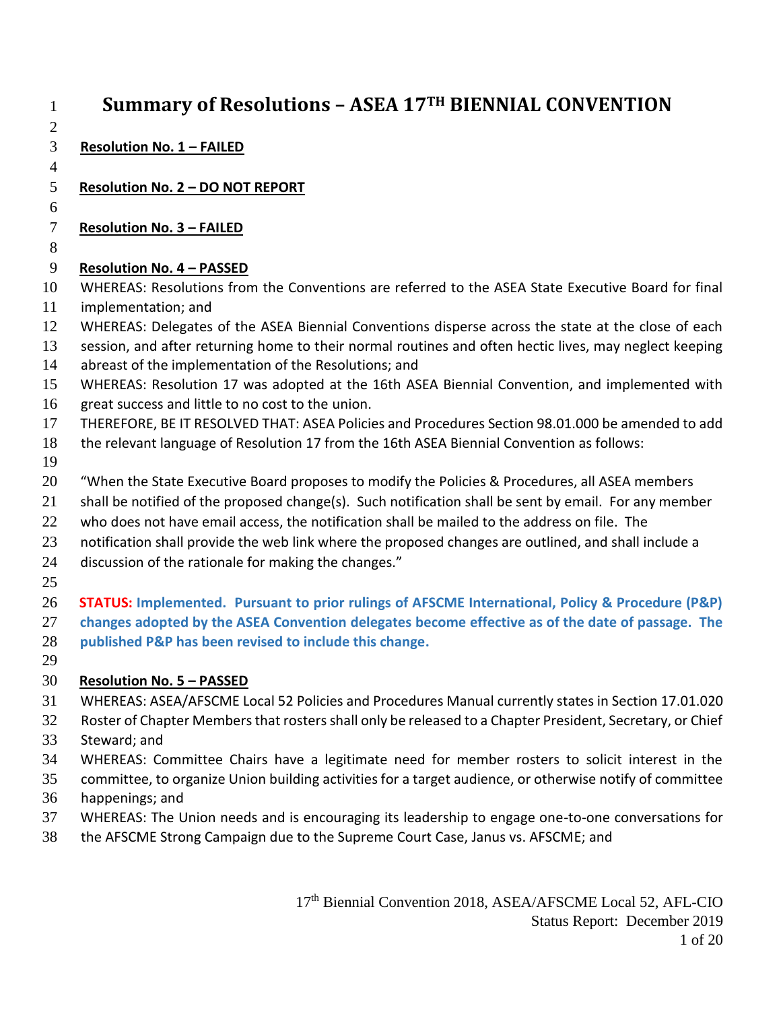| $\mathbf{1}$   | Summary of Resolutions - ASEA 17TH BIENNIAL CONVENTION                                                    |
|----------------|-----------------------------------------------------------------------------------------------------------|
| $\overline{2}$ |                                                                                                           |
| 3              | <b>Resolution No. 1 - FAILED</b>                                                                          |
| $\overline{4}$ |                                                                                                           |
| 5              | <b>Resolution No. 2 - DO NOT REPORT</b>                                                                   |
| 6              |                                                                                                           |
| $\tau$         | <b>Resolution No. 3 - FAILED</b>                                                                          |
| 8              |                                                                                                           |
| 9              | <b>Resolution No. 4 - PASSED</b>                                                                          |
| 10             | WHEREAS: Resolutions from the Conventions are referred to the ASEA State Executive Board for final        |
| 11             | implementation; and                                                                                       |
| 12             | WHEREAS: Delegates of the ASEA Biennial Conventions disperse across the state at the close of each        |
| 13             | session, and after returning home to their normal routines and often hectic lives, may neglect keeping    |
| 14             | abreast of the implementation of the Resolutions; and                                                     |
| 15             | WHEREAS: Resolution 17 was adopted at the 16th ASEA Biennial Convention, and implemented with             |
| 16             | great success and little to no cost to the union.                                                         |
| 17             | THEREFORE, BE IT RESOLVED THAT: ASEA Policies and Procedures Section 98.01.000 be amended to add          |
| 18             | the relevant language of Resolution 17 from the 16th ASEA Biennial Convention as follows:                 |
| 19             | "When the State Executive Board proposes to modify the Policies & Procedures, all ASEA members            |
| 20<br>21       | shall be notified of the proposed change(s). Such notification shall be sent by email. For any member     |
| 22             | who does not have email access, the notification shall be mailed to the address on file. The              |
| 23             | notification shall provide the web link where the proposed changes are outlined, and shall include a      |
| 24             | discussion of the rationale for making the changes."                                                      |
| 25             |                                                                                                           |
| 26             | STATUS: Implemented. Pursuant to prior rulings of AFSCME International, Policy & Procedure (P&P)          |
| 27             | changes adopted by the ASEA Convention delegates become effective as of the date of passage. The          |
| 28             | published P&P has been revised to include this change.                                                    |
| 29             |                                                                                                           |
| 30             | <b>Resolution No. 5 - PASSED</b>                                                                          |
| 31             | WHEREAS: ASEA/AFSCME Local 52 Policies and Procedures Manual currently states in Section 17.01.020        |
| 32             | Roster of Chapter Members that rosters shall only be released to a Chapter President, Secretary, or Chief |
| 33             | Steward; and                                                                                              |
| 34             | WHEREAS: Committee Chairs have a legitimate need for member rosters to solicit interest in the            |
| 35             | committee, to organize Union building activities for a target audience, or otherwise notify of committee  |
| 36             | happenings; and                                                                                           |
| 37             | WHEREAS: The Union needs and is encouraging its leadership to engage one-to-one conversations for         |
| 38             | the AFSCME Strong Campaign due to the Supreme Court Case, Janus vs. AFSCME; and                           |
|                |                                                                                                           |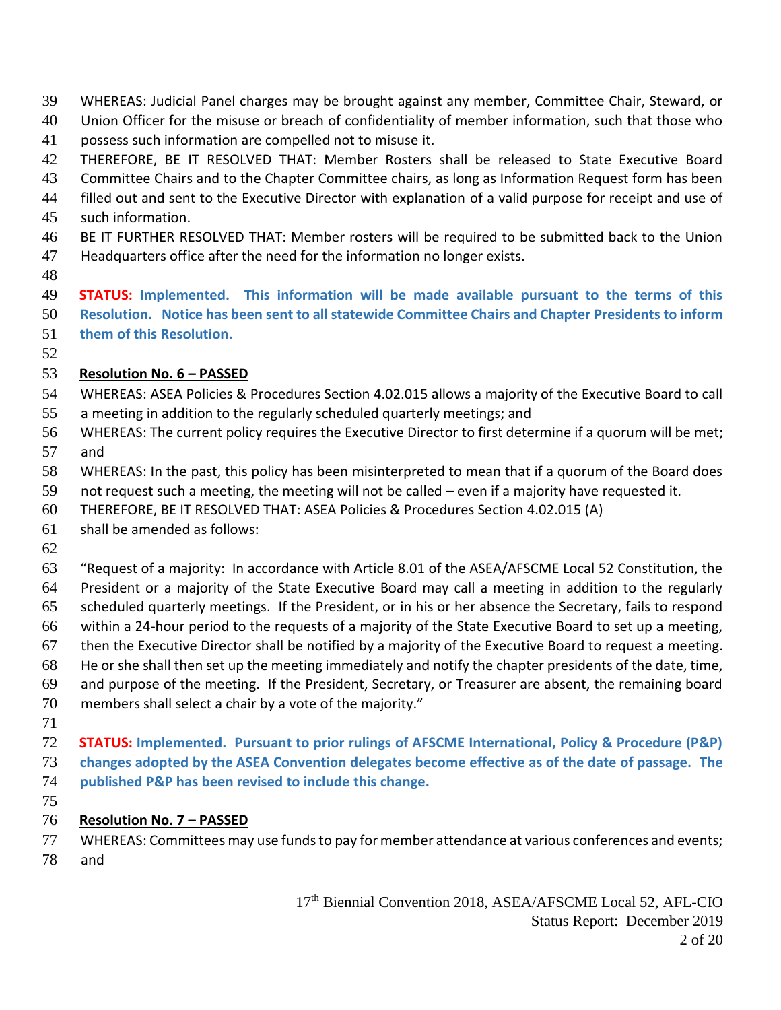- WHEREAS: Judicial Panel charges may be brought against any member, Committee Chair, Steward, or
- Union Officer for the misuse or breach of confidentiality of member information, such that those who
- possess such information are compelled not to misuse it.
- THEREFORE, BE IT RESOLVED THAT: Member Rosters shall be released to State Executive Board
- Committee Chairs and to the Chapter Committee chairs, as long as Information Request form has been
- filled out and sent to the Executive Director with explanation of a valid purpose for receipt and use of
- such information.
- BE IT FURTHER RESOLVED THAT: Member rosters will be required to be submitted back to the Union Headquarters office after the need for the information no longer exists.
- 

 **STATUS: Implemented. This information will be made available pursuant to the terms of this Resolution. Notice has been sent to all statewide Committee Chairs and Chapter Presidents to inform** 

 **them of this Resolution.** 

## **Resolution No. 6 – PASSED**

- WHEREAS: ASEA Policies & Procedures Section 4.02.015 allows a majority of the Executive Board to call a meeting in addition to the regularly scheduled quarterly meetings; and
- WHEREAS: The current policy requires the Executive Director to first determine if a quorum will be met;
- and
- WHEREAS: In the past, this policy has been misinterpreted to mean that if a quorum of the Board does
- not request such a meeting, the meeting will not be called even if a majority have requested it.
- THEREFORE, BE IT RESOLVED THAT: ASEA Policies & Procedures Section 4.02.015 (A)
- shall be amended as follows:
- 
- "Request of a majority: In accordance with Article 8.01 of the ASEA/AFSCME Local 52 Constitution, the President or a majority of the State Executive Board may call a meeting in addition to the regularly scheduled quarterly meetings. If the President, or in his or her absence the Secretary, fails to respond within a 24-hour period to the requests of a majority of the State Executive Board to set up a meeting, then the Executive Director shall be notified by a majority of the Executive Board to request a meeting. He or she shall then set up the meeting immediately and notify the chapter presidents of the date, time, and purpose of the meeting. If the President, Secretary, or Treasurer are absent, the remaining board members shall select a chair by a vote of the majority."
- 
- **STATUS: Implemented. Pursuant to prior rulings of AFSCME International, Policy & Procedure (P&P) changes adopted by the ASEA Convention delegates become effective as of the date of passage. The published P&P has been revised to include this change.**
- 

## **Resolution No. 7 – PASSED**

 WHEREAS: Committees may use funds to pay for member attendance at various conferences and events; and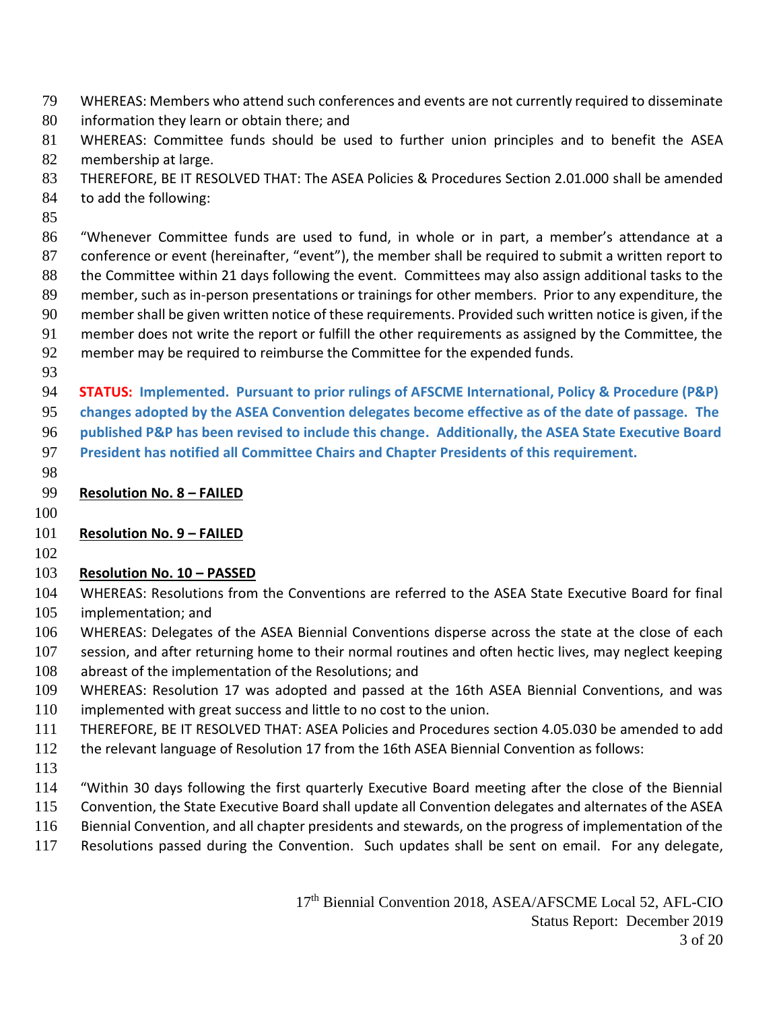WHEREAS: Members who attend such conferences and events are not currently required to disseminate

information they learn or obtain there; and

 WHEREAS: Committee funds should be used to further union principles and to benefit the ASEA membership at large.

THEREFORE, BE IT RESOLVED THAT: The ASEA Policies & Procedures Section 2.01.000 shall be amended

to add the following:

 "Whenever Committee funds are used to fund, in whole or in part, a member's attendance at a conference or event (hereinafter, "event"), the member shall be required to submit a written report to 88 the Committee within 21 days following the event. Committees may also assign additional tasks to the member, such as in-person presentations or trainings for other members. Prior to any expenditure, the member shall be given written notice of these requirements. Provided such written notice is given, if the member does not write the report or fulfill the other requirements as assigned by the Committee, the

- member may be required to reimburse the Committee for the expended funds.
- 

**STATUS: Implemented. Pursuant to prior rulings of AFSCME International, Policy & Procedure (P&P)** 

**changes adopted by the ASEA Convention delegates become effective as of the date of passage. The** 

**published P&P has been revised to include this change. Additionally, the ASEA State Executive Board** 

**President has notified all Committee Chairs and Chapter Presidents of this requirement.**

**Resolution No. 8 – FAILED**

## **Resolution No. 9 - FAILED**

#### **Resolution No. 10 - PASSED**

 WHEREAS: Resolutions from the Conventions are referred to the ASEA State Executive Board for final implementation; and

WHEREAS: Delegates of the ASEA Biennial Conventions disperse across the state at the close of each

107 session, and after returning home to their normal routines and often hectic lives, may neglect keeping

- abreast of the implementation of the Resolutions; and
- WHEREAS: Resolution 17 was adopted and passed at the 16th ASEA Biennial Conventions, and was
- implemented with great success and little to no cost to the union.
- THEREFORE, BE IT RESOLVED THAT: ASEA Policies and Procedures section 4.05.030 be amended to add
- the relevant language of Resolution 17 from the 16th ASEA Biennial Convention as follows:
- 
- "Within 30 days following the first quarterly Executive Board meeting after the close of the Biennial
- Convention, the State Executive Board shall update all Convention delegates and alternates of the ASEA
- Biennial Convention, and all chapter presidents and stewards, on the progress of implementation of the
- Resolutions passed during the Convention. Such updates shall be sent on email. For any delegate,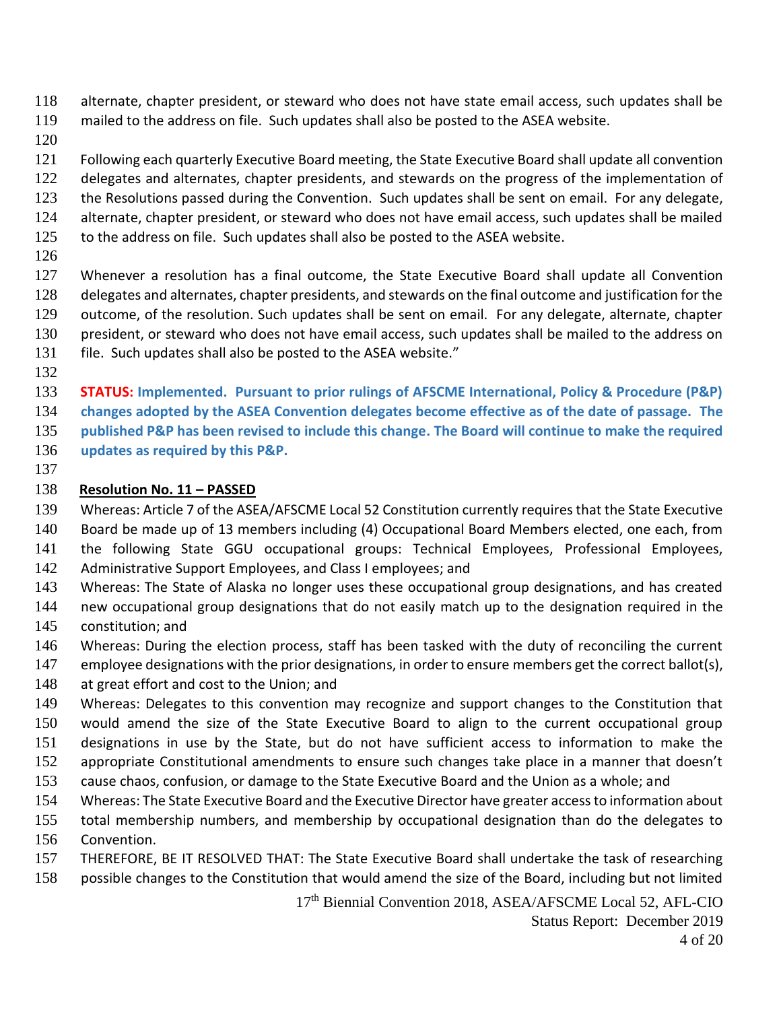alternate, chapter president, or steward who does not have state email access, such updates shall be

- mailed to the address on file. Such updates shall also be posted to the ASEA website.
- 

Following each quarterly Executive Board meeting, the State Executive Board shall update all convention

delegates and alternates, chapter presidents, and stewards on the progress of the implementation of

- the Resolutions passed during the Convention. Such updates shall be sent on email. For any delegate,
- alternate, chapter president, or steward who does not have email access, such updates shall be mailed
- to the address on file. Such updates shall also be posted to the ASEA website.
- 
- Whenever a resolution has a final outcome, the State Executive Board shall update all Convention delegates and alternates, chapter presidents, and stewards on the final outcome and justification for the outcome, of the resolution. Such updates shall be sent on email. For any delegate, alternate, chapter president, or steward who does not have email access, such updates shall be mailed to the address on 131 file. Such updates shall also be posted to the ASEA website."
- 

**STATUS: Implemented. Pursuant to prior rulings of AFSCME International, Policy & Procedure (P&P)** 

**changes adopted by the ASEA Convention delegates become effective as of the date of passage. The** 

**published P&P has been revised to include this change. The Board will continue to make the required** 

- **updates as required by this P&P.**
- 

## **Resolution No. 11 – PASSED**

Whereas: Article 7 of the ASEA/AFSCME Local 52 Constitution currently requires that the State Executive

- Board be made up of 13 members including (4) Occupational Board Members elected, one each, from the following State GGU occupational groups: Technical Employees, Professional Employees,
- 142 Administrative Support Employees, and Class I employees; and
- Whereas: The State of Alaska no longer uses these occupational group designations, and has created
- new occupational group designations that do not easily match up to the designation required in the constitution; and
- Whereas: During the election process, staff has been tasked with the duty of reconciling the current
- employee designations with the prior designations, in order to ensure members get the correct ballot(s),
- 148 at great effort and cost to the Union; and
- Whereas: Delegates to this convention may recognize and support changes to the Constitution that would amend the size of the State Executive Board to align to the current occupational group designations in use by the State, but do not have sufficient access to information to make the appropriate Constitutional amendments to ensure such changes take place in a manner that doesn't cause chaos, confusion, or damage to the State Executive Board and the Union as a whole; and
- Whereas: The State Executive Board and the Executive Director have greater access to information about
- total membership numbers, and membership by occupational designation than do the delegates to Convention.
- THEREFORE, BE IT RESOLVED THAT: The State Executive Board shall undertake the task of researching
- possible changes to the Constitution that would amend the size of the Board, including but not limited

17<sup>th</sup> Biennial Convention 2018, ASEA/AFSCME Local 52, AFL-CIO Status Report: December 2019 of 20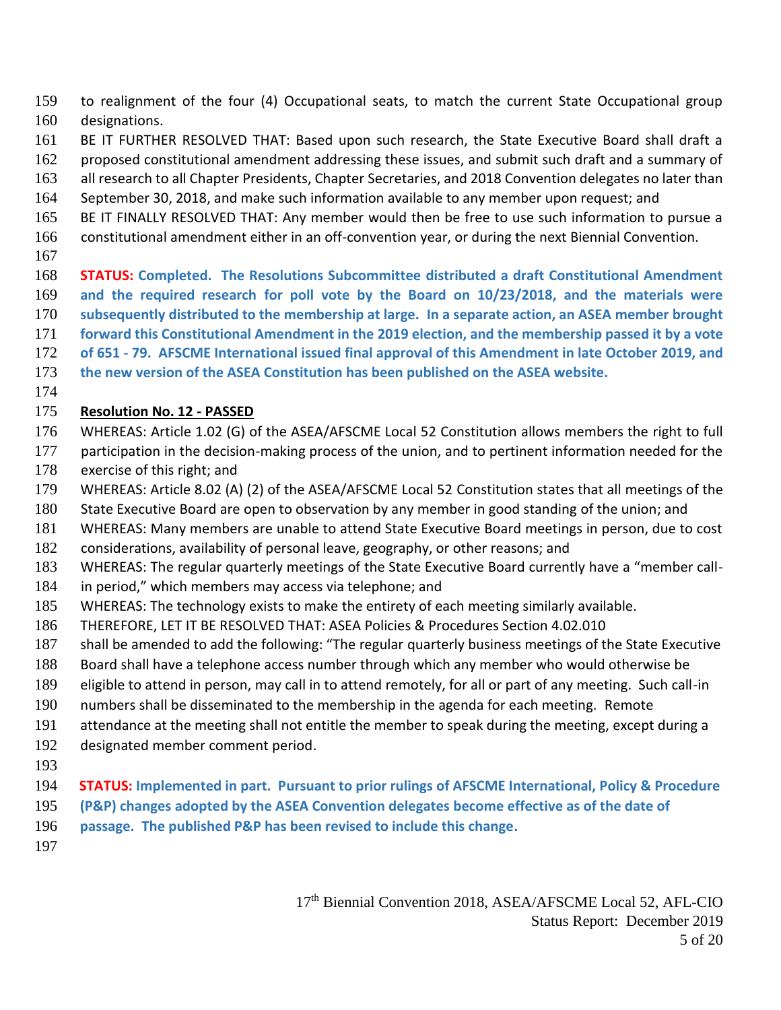to realignment of the four (4) Occupational seats, to match the current State Occupational group designations.

- BE IT FURTHER RESOLVED THAT: Based upon such research, the State Executive Board shall draft a
- proposed constitutional amendment addressing these issues, and submit such draft and a summary of
- 163 all research to all Chapter Presidents, Chapter Secretaries, and 2018 Convention delegates no later than
- September 30, 2018, and make such information available to any member upon request; and
- BE IT FINALLY RESOLVED THAT: Any member would then be free to use such information to pursue a constitutional amendment either in an off-convention year, or during the next Biennial Convention.
- 
- **STATUS: Completed. The Resolutions Subcommittee distributed a draft Constitutional Amendment and the required research for poll vote by the Board on 10/23/2018, and the materials were subsequently distributed to the membership at large. In a separate action, an ASEA member brought forward this Constitutional Amendment in the 2019 election, and the membership passed it by a vote of 651 - 79. AFSCME International issued final approval of this Amendment in late October 2019, and**
- **the new version of the ASEA Constitution has been published on the ASEA website.**
- 

## **Resolution No. 12 - PASSED**

- WHEREAS: Article 1.02 (G) of the ASEA/AFSCME Local 52 Constitution allows members the right to full
- 177 participation in the decision-making process of the union, and to pertinent information needed for the exercise of this right; and
- WHEREAS: Article 8.02 (A) (2) of the ASEA/AFSCME Local 52 Constitution states that all meetings of the
- State Executive Board are open to observation by any member in good standing of the union; and
- WHEREAS: Many members are unable to attend State Executive Board meetings in person, due to cost
- considerations, availability of personal leave, geography, or other reasons; and
- WHEREAS: The regular quarterly meetings of the State Executive Board currently have a "member call-
- in period," which members may access via telephone; and
- WHEREAS: The technology exists to make the entirety of each meeting similarly available.
- THEREFORE, LET IT BE RESOLVED THAT: ASEA Policies & Procedures Section 4.02.010
- shall be amended to add the following: "The regular quarterly business meetings of the State Executive
- Board shall have a telephone access number through which any member who would otherwise be
- eligible to attend in person, may call in to attend remotely, for all or part of any meeting. Such call-in
- numbers shall be disseminated to the membership in the agenda for each meeting. Remote
- attendance at the meeting shall not entitle the member to speak during the meeting, except during a
- designated member comment period.
- 
- **STATUS: Implemented in part. Pursuant to prior rulings of AFSCME International, Policy & Procedure**
- **(P&P) changes adopted by the ASEA Convention delegates become effective as of the date of**
- **passage. The published P&P has been revised to include this change.**
-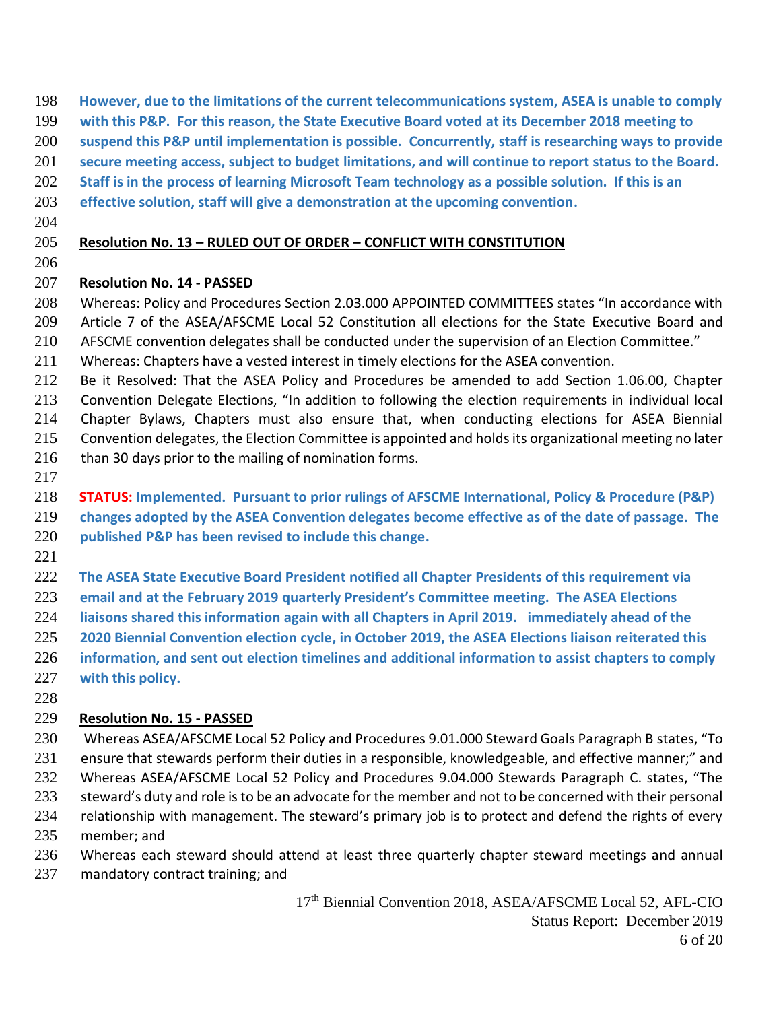- **However, due to the limitations of the current telecommunications system, ASEA is unable to comply**
- **with this P&P. For this reason, the State Executive Board voted at its December 2018 meeting to**
- **suspend this P&P until implementation is possible. Concurrently, staff is researching ways to provide**
- **secure meeting access, subject to budget limitations, and will continue to report status to the Board.**
- **Staff is in the process of learning Microsoft Team technology as a possible solution. If this is an**
- **effective solution, staff will give a demonstration at the upcoming convention.**
- 

#### **Resolution No. 13 – RULED OUT OF ORDER – CONFLICT WITH CONSTITUTION**

#### **Resolution No. 14 - PASSED**

- Whereas: Policy and Procedures Section 2.03.000 APPOINTED COMMITTEES states "In accordance with Article 7 of the ASEA/AFSCME Local 52 Constitution all elections for the State Executive Board and AFSCME convention delegates shall be conducted under the supervision of an Election Committee."
- Whereas: Chapters have a vested interest in timely elections for the ASEA convention.
- Be it Resolved: That the ASEA Policy and Procedures be amended to add Section 1.06.00, Chapter Convention Delegate Elections, "In addition to following the election requirements in individual local Chapter Bylaws, Chapters must also ensure that, when conducting elections for ASEA Biennial Convention delegates, the Election Committee is appointed and holds its organizational meeting no later than 30 days prior to the mailing of nomination forms.
- 

**STATUS: Implemented. Pursuant to prior rulings of AFSCME International, Policy & Procedure (P&P)** 

**changes adopted by the ASEA Convention delegates become effective as of the date of passage. The** 

- **published P&P has been revised to include this change.**
- 
- **The ASEA State Executive Board President notified all Chapter Presidents of this requirement via**

**email and at the February 2019 quarterly President's Committee meeting. The ASEA Elections** 

- **liaisons shared this information again with all Chapters in April 2019. immediately ahead of the**
- **2020 Biennial Convention election cycle, in October 2019, the ASEA Elections liaison reiterated this**
- **information, and sent out election timelines and additional information to assist chapters to comply with this policy.**
- 

## **Resolution No. 15 - PASSED**

- Whereas ASEA/AFSCME Local 52 Policy and Procedures 9.01.000 Steward Goals Paragraph B states, "To ensure that stewards perform their duties in a responsible, knowledgeable, and effective manner;" and Whereas ASEA/AFSCME Local 52 Policy and Procedures 9.04.000 Stewards Paragraph C. states, "The 233 steward's duty and role is to be an advocate for the member and not to be concerned with their personal relationship with management. The steward's primary job is to protect and defend the rights of every member; and
- Whereas each steward should attend at least three quarterly chapter steward meetings and annual
- mandatory contract training; and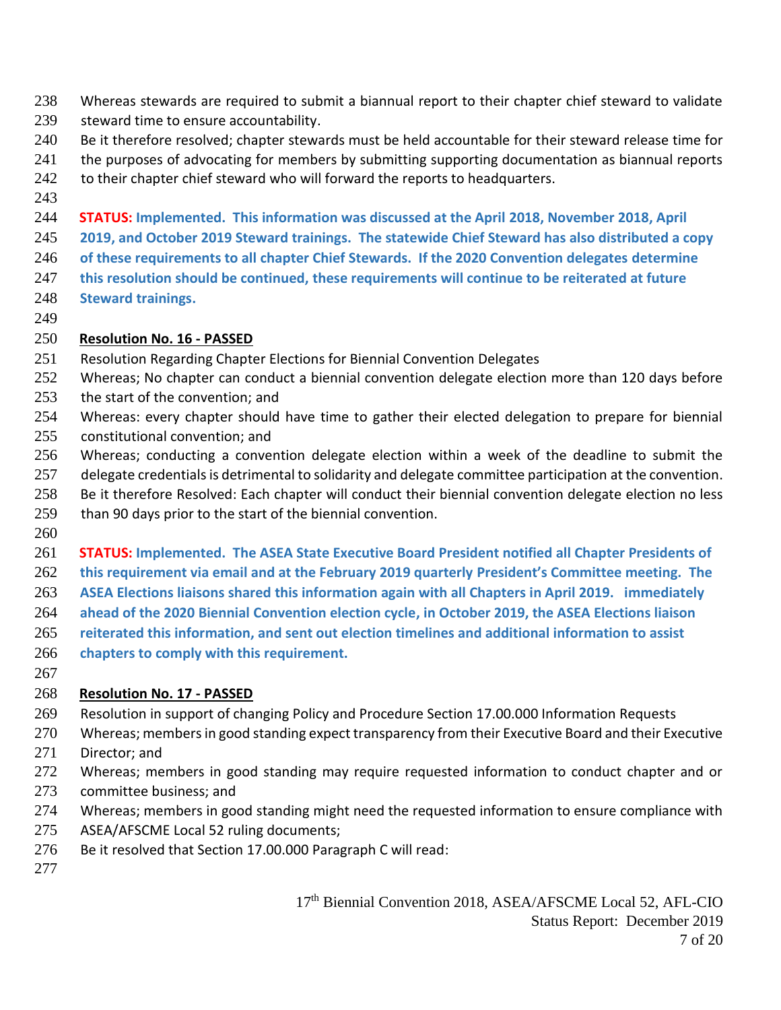- Whereas stewards are required to submit a biannual report to their chapter chief steward to validate
- steward time to ensure accountability.
- 240 Be it therefore resolved; chapter stewards must be held accountable for their steward release time for
- 241 the purposes of advocating for members by submitting supporting documentation as biannual reports
- 242 to their chapter chief steward who will forward the reports to headquarters.
- 

**STATUS: Implemented. This information was discussed at the April 2018, November 2018, April** 

**2019, and October 2019 Steward trainings. The statewide Chief Steward has also distributed a copy** 

- **of these requirements to all chapter Chief Stewards. If the 2020 Convention delegates determine**
- **this resolution should be continued, these requirements will continue to be reiterated at future Steward trainings.**
- 

## **Resolution No. 16 - PASSED**

- Resolution Regarding Chapter Elections for Biennial Convention Delegates
- 252 Whereas; No chapter can conduct a biennial convention delegate election more than 120 days before
- the start of the convention; and
- Whereas: every chapter should have time to gather their elected delegation to prepare for biennial constitutional convention; and
- Whereas; conducting a convention delegate election within a week of the deadline to submit the
- delegate credentials is detrimental to solidarity and delegate committee participation at the convention.
- Be it therefore Resolved: Each chapter will conduct their biennial convention delegate election no less
- 259 than 90 days prior to the start of the biennial convention.
- 

 **STATUS: Implemented. The ASEA State Executive Board President notified all Chapter Presidents of this requirement via email and at the February 2019 quarterly President's Committee meeting. The ASEA Elections liaisons shared this information again with all Chapters in April 2019. immediately ahead of the 2020 Biennial Convention election cycle, in October 2019, the ASEA Elections liaison** 

- **reiterated this information, and sent out election timelines and additional information to assist**
- **chapters to comply with this requirement.**
- 

## **Resolution No. 17 - PASSED**

- Resolution in support of changing Policy and Procedure Section 17.00.000 Information Requests
- Whereas; members in good standing expect transparency from their Executive Board and their Executive
- Director; and
- 272 Whereas; members in good standing may require requested information to conduct chapter and or committee business; and
- Whereas; members in good standing might need the requested information to ensure compliance with
- ASEA/AFSCME Local 52 ruling documents;
- Be it resolved that Section 17.00.000 Paragraph C will read:
-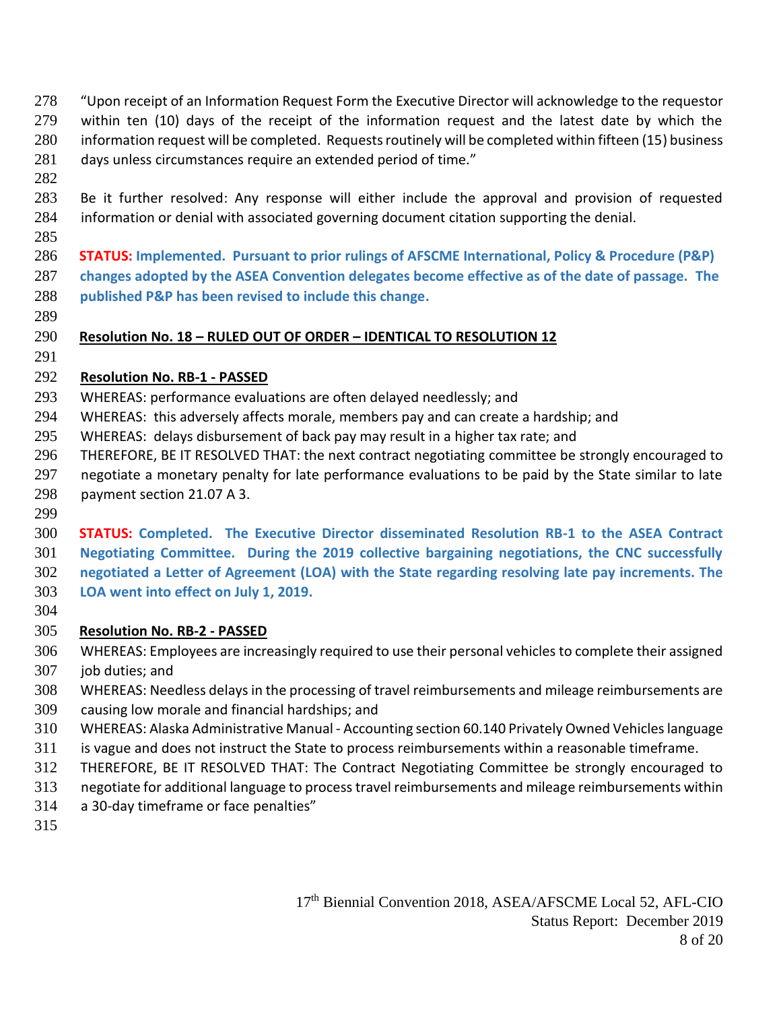- "Upon receipt of an Information Request Form the Executive Director will acknowledge to the requestor within ten (10) days of the receipt of the information request and the latest date by which the information request will be completed. Requests routinely will be completed within fifteen (15) business 281 days unless circumstances require an extended period of time."
- 

- Be it further resolved: Any response will either include the approval and provision of requested information or denial with associated governing document citation supporting the denial.
- **STATUS: Implemented. Pursuant to prior rulings of AFSCME International, Policy & Procedure (P&P) changes adopted by the ASEA Convention delegates become effective as of the date of passage. The published P&P has been revised to include this change.**
- 

## **Resolution No. 18 – RULED OUT OF ORDER – IDENTICAL TO RESOLUTION 12**

## **Resolution No. RB-1 - PASSED**

- WHEREAS: performance evaluations are often delayed needlessly; and
- WHEREAS: this adversely affects morale, members pay and can create a hardship; and
- WHEREAS: delays disbursement of back pay may result in a higher tax rate; and
- THEREFORE, BE IT RESOLVED THAT: the next contract negotiating committee be strongly encouraged to negotiate a monetary penalty for late performance evaluations to be paid by the State similar to late payment section 21.07 A 3.
- 

### **STATUS: Completed. The Executive Director disseminated Resolution RB-1 to the ASEA Contract Negotiating Committee. During the 2019 collective bargaining negotiations, the CNC successfully negotiated a Letter of Agreement (LOA) with the State regarding resolving late pay increments. The LOA went into effect on July 1, 2019.**

## **Resolution No. RB-2 - PASSED**

- WHEREAS: Employees are increasingly required to use their personal vehicles to complete their assigned job duties; and
- WHEREAS: Needless delays in the processing of travel reimbursements and mileage reimbursements are
- causing low morale and financial hardships; and
- WHEREAS: Alaska Administrative Manual Accounting section 60.140 Privately Owned Vehicles language
- is vague and does not instruct the State to process reimbursements within a reasonable timeframe.
- THEREFORE, BE IT RESOLVED THAT: The Contract Negotiating Committee be strongly encouraged to
- negotiate for additional language to process travel reimbursements and mileage reimbursements within
- a 30-day timeframe or face penalties"
-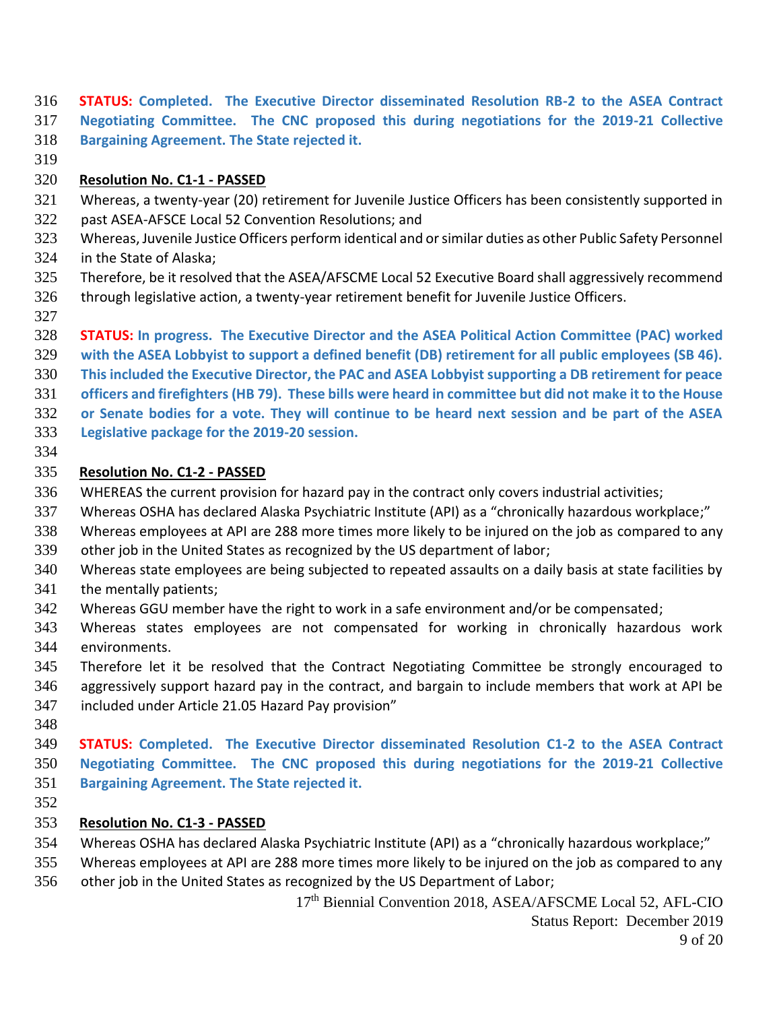**STATUS: Completed. The Executive Director disseminated Resolution RB-2 to the ASEA Contract Negotiating Committee. The CNC proposed this during negotiations for the 2019-21 Collective Bargaining Agreement. The State rejected it.**

#### **Resolution No. C1-1 - PASSED**

- Whereas, a twenty-year (20) retirement for Juvenile Justice Officers has been consistently supported in
- past ASEA-AFSCE Local 52 Convention Resolutions; and
- Whereas, Juvenile Justice Officers perform identical and or similar duties as other Public Safety Personnel in the State of Alaska;
- Therefore, be it resolved that the ASEA/AFSCME Local 52 Executive Board shall aggressively recommend
- through legislative action, a twenty-year retirement benefit for Juvenile Justice Officers.
- 
- **STATUS: In progress. The Executive Director and the ASEA Political Action Committee (PAC) worked**
- **with the ASEA Lobbyist to support a defined benefit (DB) retirement for all public employees (SB 46).**
- **This included the Executive Director, the PAC and ASEA Lobbyist supporting a DB retirement for peace**
- **officers and firefighters (HB 79). These bills were heard in committee but did not make it to the House**
- **or Senate bodies for a vote. They will continue to be heard next session and be part of the ASEA**
- **Legislative package for the 2019-20 session.**
- 

### **Resolution No. C1-2 - PASSED**

- WHEREAS the current provision for hazard pay in the contract only covers industrial activities;
- Whereas OSHA has declared Alaska Psychiatric Institute (API) as a "chronically hazardous workplace;"
- Whereas employees at API are 288 more times more likely to be injured on the job as compared to any
- other job in the United States as recognized by the US department of labor;
- Whereas state employees are being subjected to repeated assaults on a daily basis at state facilities by
- the mentally patients;
- Whereas GGU member have the right to work in a safe environment and/or be compensated;
- Whereas states employees are not compensated for working in chronically hazardous work environments.
- Therefore let it be resolved that the Contract Negotiating Committee be strongly encouraged to
- aggressively support hazard pay in the contract, and bargain to include members that work at API be
- included under Article 21.05 Hazard Pay provision"
- 
- **STATUS: Completed. The Executive Director disseminated Resolution C1-2 to the ASEA Contract Negotiating Committee. The CNC proposed this during negotiations for the 2019-21 Collective Bargaining Agreement. The State rejected it.**
- 

# **Resolution No. C1-3 - PASSED**

- Whereas OSHA has declared Alaska Psychiatric Institute (API) as a "chronically hazardous workplace;"
- Whereas employees at API are 288 more times more likely to be injured on the job as compared to any other job in the United States as recognized by the US Department of Labor;

17<sup>th</sup> Biennial Convention 2018, ASEA/AFSCME Local 52, AFL-CIO Status Report: December 2019 of 20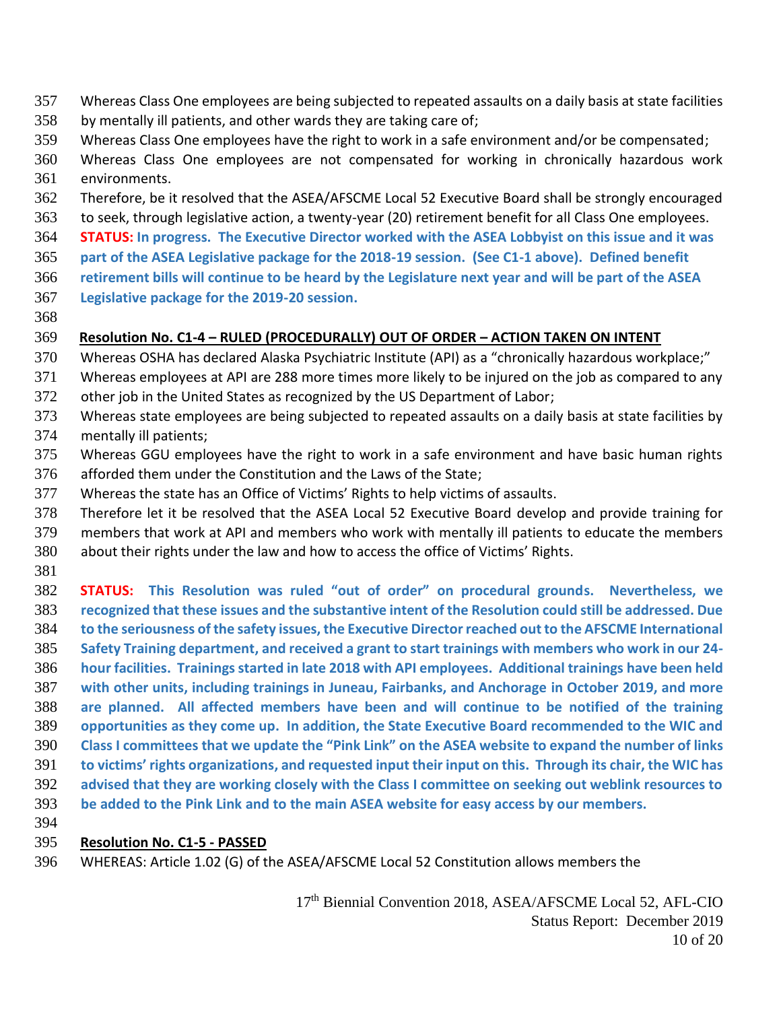- Whereas Class One employees are being subjected to repeated assaults on a daily basis at state facilities
- by mentally ill patients, and other wards they are taking care of;
- Whereas Class One employees have the right to work in a safe environment and/or be compensated;
- Whereas Class One employees are not compensated for working in chronically hazardous work environments.
- Therefore, be it resolved that the ASEA/AFSCME Local 52 Executive Board shall be strongly encouraged
- to seek, through legislative action, a twenty-year (20) retirement benefit for all Class One employees.
- **STATUS: In progress. The Executive Director worked with the ASEA Lobbyist on this issue and it was**
- **part of the ASEA Legislative package for the 2018-19 session. (See C1-1 above). Defined benefit**
- **retirement bills will continue to be heard by the Legislature next year and will be part of the ASEA**
- **Legislative package for the 2019-20 session.**
- 
- 

## **Resolution No. C1-4 – RULED (PROCEDURALLY) OUT OF ORDER – ACTION TAKEN ON INTENT**

- Whereas OSHA has declared Alaska Psychiatric Institute (API) as a "chronically hazardous workplace;"
- Whereas employees at API are 288 more times more likely to be injured on the job as compared to any
- other job in the United States as recognized by the US Department of Labor;
- Whereas state employees are being subjected to repeated assaults on a daily basis at state facilities by mentally ill patients;
- Whereas GGU employees have the right to work in a safe environment and have basic human rights afforded them under the Constitution and the Laws of the State;
- Whereas the state has an Office of Victims' Rights to help victims of assaults.
- Therefore let it be resolved that the ASEA Local 52 Executive Board develop and provide training for members that work at API and members who work with mentally ill patients to educate the members
- about their rights under the law and how to access the office of Victims' Rights.
- 

 **STATUS: This Resolution was ruled "out of order" on procedural grounds. Nevertheless, we recognized that these issues and the substantive intent of the Resolution could still be addressed. Due to the seriousness of the safety issues, the Executive Director reached out to the AFSCME International Safety Training department, and received a grant to start trainings with members who work in our 24- hour facilities. Trainings started in late 2018 with API employees. Additional trainings have been held with other units, including trainings in Juneau, Fairbanks, and Anchorage in October 2019, and more are planned. All affected members have been and will continue to be notified of the training opportunities as they come up. In addition, the State Executive Board recommended to the WIC and Class I committees that we update the "Pink Link" on the ASEA website to expand the number of links to victims' rights organizations, and requested input their input on this. Through its chair, the WIC has advised that they are working closely with the Class I committee on seeking out weblink resources to be added to the Pink Link and to the main ASEA website for easy access by our members.** 

#### **Resolution No. C1-5 - PASSED**

WHEREAS: Article 1.02 (G) of the ASEA/AFSCME Local 52 Constitution allows members the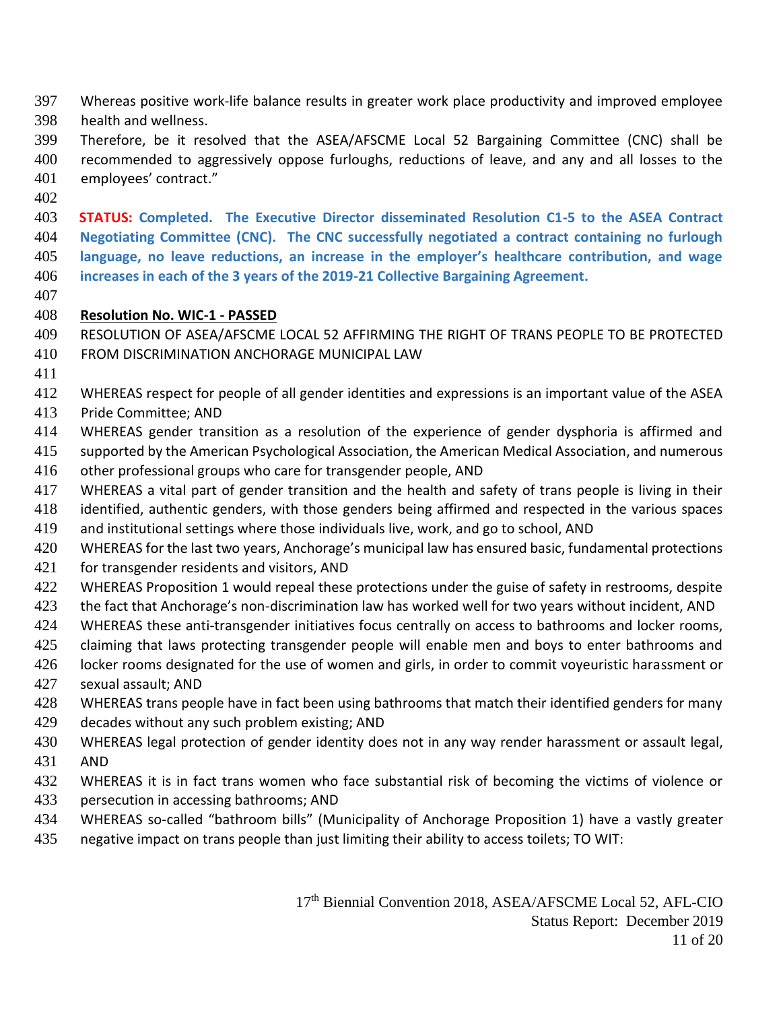- Whereas positive work-life balance results in greater work place productivity and improved employee health and wellness.
- Therefore, be it resolved that the ASEA/AFSCME Local 52 Bargaining Committee (CNC) shall be recommended to aggressively oppose furloughs, reductions of leave, and any and all losses to the employees' contract."
- 

 **STATUS: Completed. The Executive Director disseminated Resolution C1-5 to the ASEA Contract Negotiating Committee (CNC). The CNC successfully negotiated a contract containing no furlough language, no leave reductions, an increase in the employer's healthcare contribution, and wage increases in each of the 3 years of the 2019-21 Collective Bargaining Agreement.**

### **Resolution No. WIC-1 - PASSED**

- RESOLUTION OF ASEA/AFSCME LOCAL 52 AFFIRMING THE RIGHT OF TRANS PEOPLE TO BE PROTECTED
- FROM DISCRIMINATION ANCHORAGE MUNICIPAL LAW
- WHEREAS respect for people of all gender identities and expressions is an important value of the ASEA
- Pride Committee; AND
- WHEREAS gender transition as a resolution of the experience of gender dysphoria is affirmed and
- supported by the American Psychological Association, the American Medical Association, and numerous
- other professional groups who care for transgender people, AND
- WHEREAS a vital part of gender transition and the health and safety of trans people is living in their
- identified, authentic genders, with those genders being affirmed and respected in the various spaces
- and institutional settings where those individuals live, work, and go to school, AND
- WHEREAS for the last two years, Anchorage's municipal law has ensured basic, fundamental protections for transgender residents and visitors, AND
- 422 WHEREAS Proposition 1 would repeal these protections under the guise of safety in restrooms, despite
- the fact that Anchorage's non-discrimination law has worked well for two years without incident, AND
- WHEREAS these anti-transgender initiatives focus centrally on access to bathrooms and locker rooms,
- 425 claiming that laws protecting transgender people will enable men and boys to enter bathrooms and
- locker rooms designated for the use of women and girls, in order to commit voyeuristic harassment or sexual assault; AND
- WHEREAS trans people have in fact been using bathrooms that match their identified genders for many
- decades without any such problem existing; AND
- WHEREAS legal protection of gender identity does not in any way render harassment or assault legal, AND
- WHEREAS it is in fact trans women who face substantial risk of becoming the victims of violence or persecution in accessing bathrooms; AND
- WHEREAS so-called "bathroom bills" (Municipality of Anchorage Proposition 1) have a vastly greater
- negative impact on trans people than just limiting their ability to access toilets; TO WIT: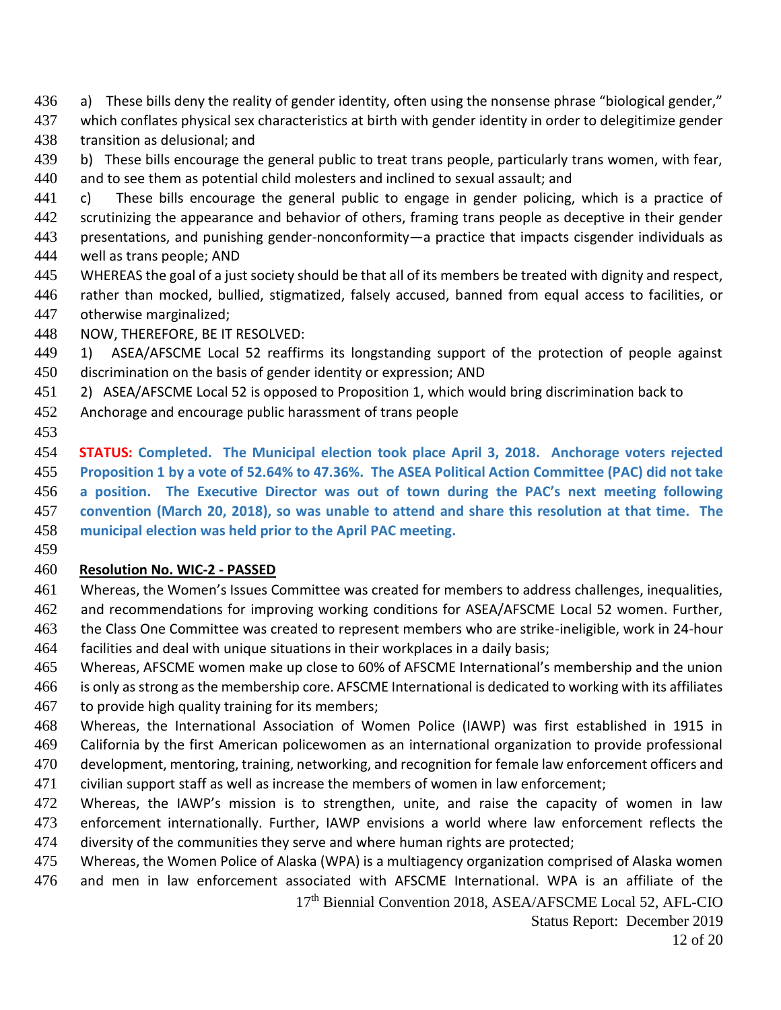- a) These bills deny the reality of gender identity, often using the nonsense phrase "biological gender,"
- which conflates physical sex characteristics at birth with gender identity in order to delegitimize gender transition as delusional; and
- 439 b) These bills encourage the general public to treat trans people, particularly trans women, with fear,
- and to see them as potential child molesters and inclined to sexual assault; and
- 441 c) These bills encourage the general public to engage in gender policing, which is a practice of 442 scrutinizing the appearance and behavior of others, framing trans people as deceptive in their gender presentations, and punishing gender-nonconformity—a practice that impacts cisgender individuals as well as trans people; AND
- WHEREAS the goal of a just society should be that all of its members be treated with dignity and respect,
- rather than mocked, bullied, stigmatized, falsely accused, banned from equal access to facilities, or otherwise marginalized;
- NOW, THEREFORE, BE IT RESOLVED:
- 1) ASEA/AFSCME Local 52 reaffirms its longstanding support of the protection of people against
- discrimination on the basis of gender identity or expression; AND
- 2) ASEA/AFSCME Local 52 is opposed to Proposition 1, which would bring discrimination back to
- Anchorage and encourage public harassment of trans people
- 

 **STATUS: Completed. The Municipal election took place April 3, 2018. Anchorage voters rejected Proposition 1 by a vote of 52.64% to 47.36%. The ASEA Political Action Committee (PAC) did not take a position. The Executive Director was out of town during the PAC's next meeting following convention (March 20, 2018), so was unable to attend and share this resolution at that time. The municipal election was held prior to the April PAC meeting.**

## **Resolution No. WIC-2 - PASSED**

- Whereas, the Women's Issues Committee was created for members to address challenges, inequalities,
- and recommendations for improving working conditions for ASEA/AFSCME Local 52 women. Further, the Class One Committee was created to represent members who are strike-ineligible, work in 24-hour
- facilities and deal with unique situations in their workplaces in a daily basis;
- Whereas, AFSCME women make up close to 60% of AFSCME International's membership and the union
- is only as strong as the membership core. AFSCME International is dedicated to working with its affiliates 467 to provide high quality training for its members;
- Whereas, the International Association of Women Police (IAWP) was first established in 1915 in California by the first American policewomen as an international organization to provide professional
- development, mentoring, training, networking, and recognition for female law enforcement officers and
- civilian support staff as well as increase the members of women in law enforcement;
- Whereas, the IAWP's mission is to strengthen, unite, and raise the capacity of women in law enforcement internationally. Further, IAWP envisions a world where law enforcement reflects the diversity of the communities they serve and where human rights are protected;
- Whereas, the Women Police of Alaska (WPA) is a multiagency organization comprised of Alaska women
- and men in law enforcement associated with AFSCME International. WPA is an affiliate of the

th Biennial Convention 2018, ASEA/AFSCME Local 52, AFL-CIO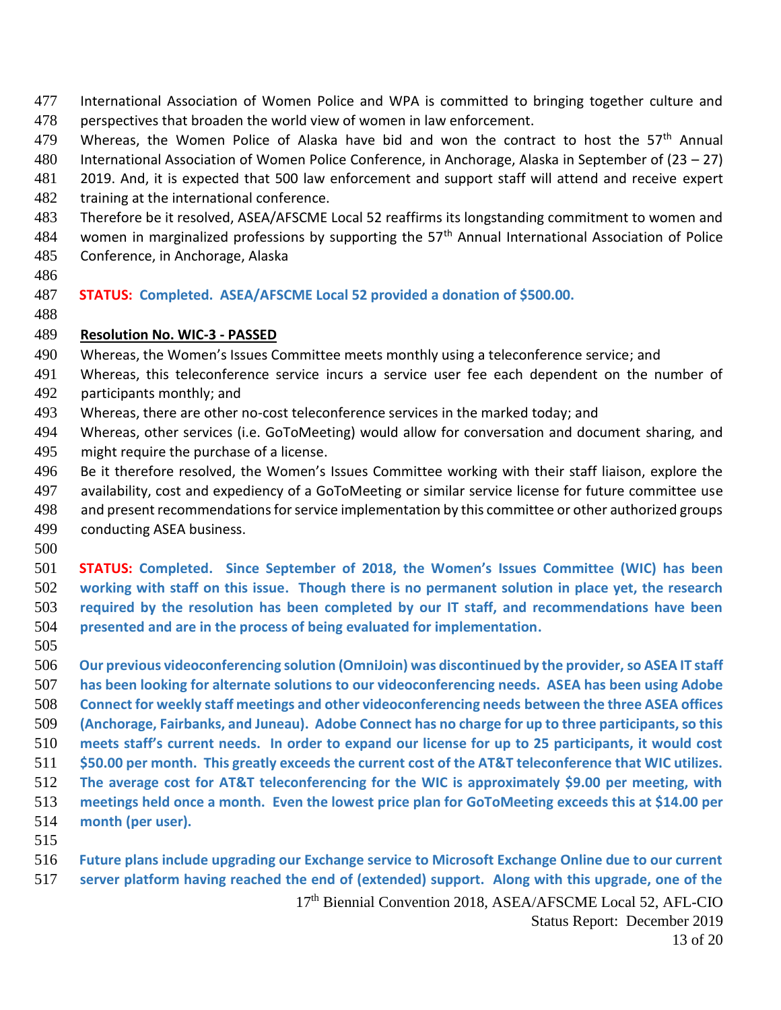- International Association of Women Police and WPA is committed to bringing together culture and perspectives that broaden the world view of women in law enforcement.
- 479 Whereas, the Women Police of Alaska have bid and won the contract to host the 57<sup>th</sup> Annual
- International Association of Women Police Conference, in Anchorage, Alaska in September of (23 27)
- 2019. And, it is expected that 500 law enforcement and support staff will attend and receive expert 482 training at the international conference.
- Therefore be it resolved, ASEA/AFSCME Local 52 reaffirms its longstanding commitment to women and
- 484 women in marginalized professions by supporting the 57<sup>th</sup> Annual International Association of Police
- Conference, in Anchorage, Alaska
- 
- **STATUS: Completed. ASEA/AFSCME Local 52 provided a donation of \$500.00.**
- 

#### **Resolution No. WIC-3 - PASSED**

- Whereas, the Women's Issues Committee meets monthly using a teleconference service; and
- Whereas, this teleconference service incurs a service user fee each dependent on the number of
- participants monthly; and
- Whereas, there are other no-cost teleconference services in the marked today; and
- Whereas, other services (i.e. GoToMeeting) would allow for conversation and document sharing, and might require the purchase of a license.
- Be it therefore resolved, the Women's Issues Committee working with their staff liaison, explore the availability, cost and expediency of a GoToMeeting or similar service license for future committee use and present recommendations for service implementation by this committee or other authorized groups conducting ASEA business.
- 

 **STATUS: Completed. Since September of 2018, the Women's Issues Committee (WIC) has been working with staff on this issue. Though there is no permanent solution in place yet, the research required by the resolution has been completed by our IT staff, and recommendations have been presented and are in the process of being evaluated for implementation.**

 **Our previous videoconferencing solution (OmniJoin) was discontinued by the provider, so ASEA IT staff has been looking for alternate solutions to our videoconferencing needs. ASEA has been using Adobe Connect for weekly staff meetings and other videoconferencing needs between the three ASEA offices (Anchorage, Fairbanks, and Juneau). Adobe Connect has no charge for up to three participants, so this meets staff's current needs. In order to expand our license for up to 25 participants, it would cost \$50.00 per month. This greatly exceeds the current cost of the AT&T teleconference that WIC utilizes. The average cost for AT&T teleconferencing for the WIC is approximately \$9.00 per meeting, with meetings held once a month. Even the lowest price plan for GoToMeeting exceeds this at \$14.00 per month (per user).** 

 **Future plans include upgrading our Exchange service to Microsoft Exchange Online due to our current server platform having reached the end of (extended) support. Along with this upgrade, one of the** 

> th Biennial Convention 2018, ASEA/AFSCME Local 52, AFL-CIO Status Report: December 2019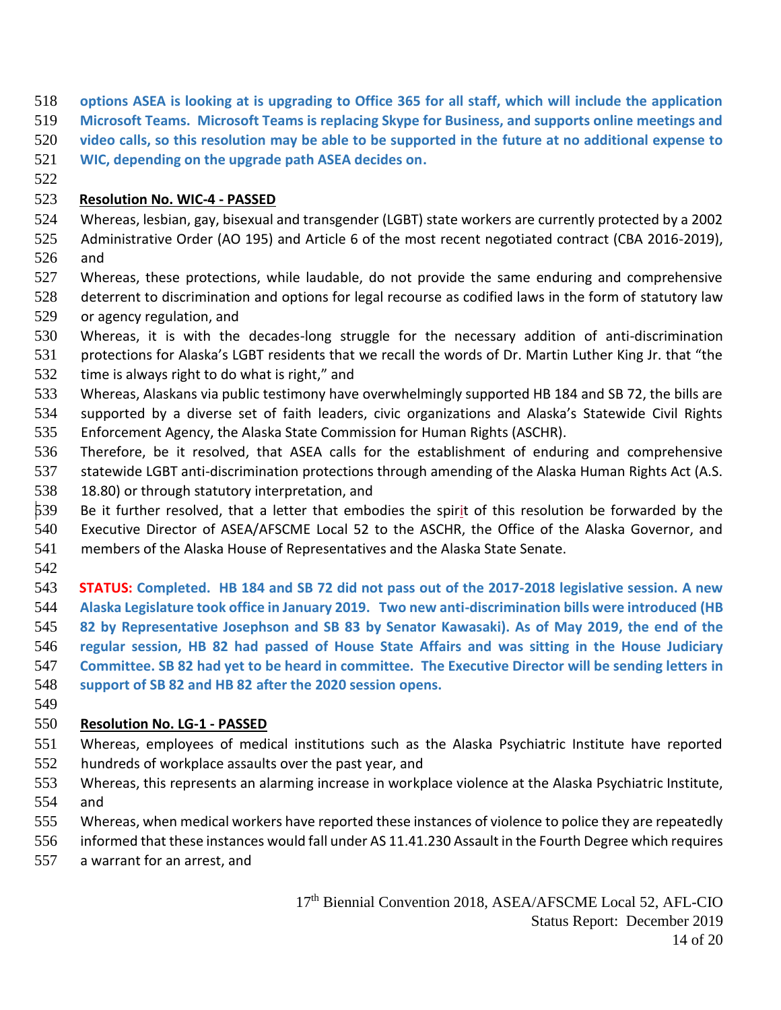- **options ASEA is looking at is upgrading to Office 365 for all staff, which will include the application**
- **Microsoft Teams. Microsoft Teams is replacing Skype for Business, and supports online meetings and**
- **video calls, so this resolution may be able to be supported in the future at no additional expense to**
- **WIC, depending on the upgrade path ASEA decides on.**
- 

## **Resolution No. WIC-4 - PASSED**

- Whereas, lesbian, gay, bisexual and transgender (LGBT) state workers are currently protected by a 2002 Administrative Order (AO 195) and Article 6 of the most recent negotiated contract (CBA 2016-2019), and
- Whereas, these protections, while laudable, do not provide the same enduring and comprehensive deterrent to discrimination and options for legal recourse as codified laws in the form of statutory law or agency regulation, and
- Whereas, it is with the decades-long struggle for the necessary addition of anti-discrimination
- protections for Alaska's LGBT residents that we recall the words of Dr. Martin Luther King Jr. that "the time is always right to do what is right," and
- Whereas, Alaskans via public testimony have overwhelmingly supported HB 184 and SB 72, the bills are supported by a diverse set of faith leaders, civic organizations and Alaska's Statewide Civil Rights
- Enforcement Agency, the Alaska State Commission for Human Rights (ASCHR).
- Therefore, be it resolved, that ASEA calls for the establishment of enduring and comprehensive
- statewide LGBT anti-discrimination protections through amending of the Alaska Human Rights Act (A.S.
- 18.80) or through statutory interpretation, and
- Be it further resolved, that a letter that embodies the spirit of this resolution be forwarded by the
- Executive Director of ASEA/AFSCME Local 52 to the ASCHR, the Office of the Alaska Governor, and
- members of the Alaska House of Representatives and the Alaska State Senate.
- 

 **STATUS: Completed. HB 184 and SB 72 did not pass out of the 2017-2018 legislative session. A new Alaska Legislature took office in January 2019. Two new anti-discrimination bills were introduced (HB 82 by Representative Josephson and SB 83 by Senator Kawasaki). As of May 2019, the end of the regular session, HB 82 had passed of House State Affairs and was sitting in the House Judiciary Committee. SB 82 had yet to be heard in committee. The Executive Director will be sending letters in support of SB 82 and HB 82 after the 2020 session opens.**

## **Resolution No. LG-1 - PASSED**

- Whereas, employees of medical institutions such as the Alaska Psychiatric Institute have reported hundreds of workplace assaults over the past year, and
- Whereas, this represents an alarming increase in workplace violence at the Alaska Psychiatric Institute, and
- Whereas, when medical workers have reported these instances of violence to police they are repeatedly
- informed that these instances would fall under AS 11.41.230 Assault in the Fourth Degree which requires
- a warrant for an arrest, and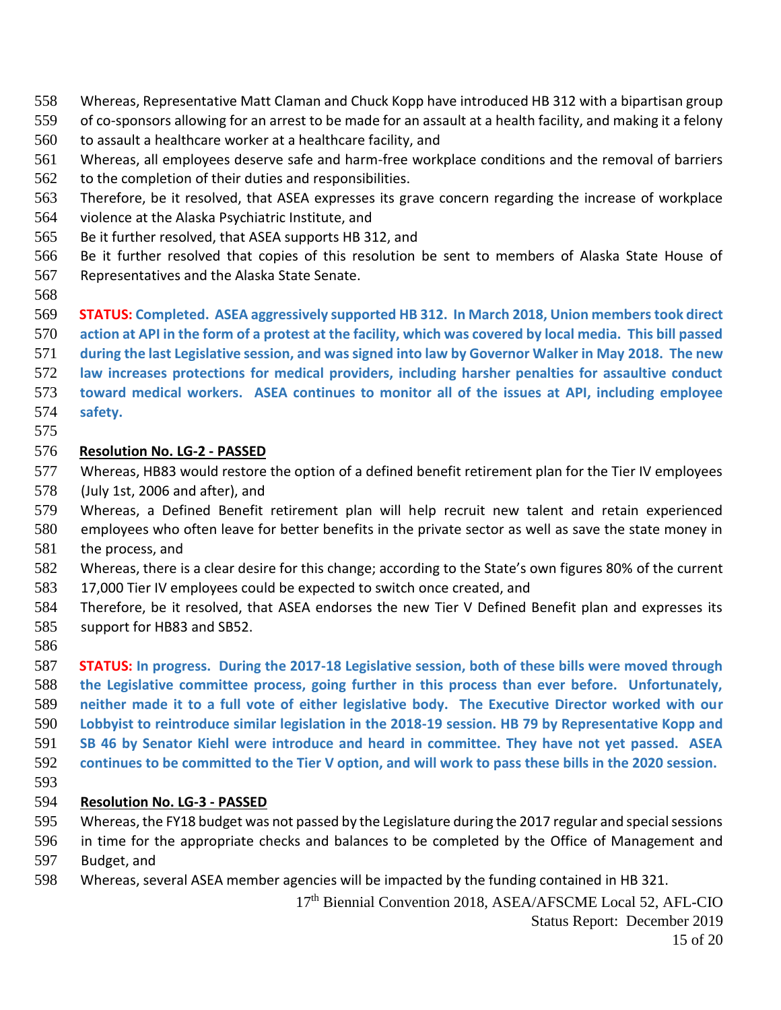- Whereas, Representative Matt Claman and Chuck Kopp have introduced HB 312 with a bipartisan group
- of co-sponsors allowing for an arrest to be made for an assault at a health facility, and making it a felony
- to assault a healthcare worker at a healthcare facility, and
- Whereas, all employees deserve safe and harm-free workplace conditions and the removal of barriers
- to the completion of their duties and responsibilities.
- Therefore, be it resolved, that ASEA expresses its grave concern regarding the increase of workplace
- violence at the Alaska Psychiatric Institute, and
- Be it further resolved, that ASEA supports HB 312, and
- Be it further resolved that copies of this resolution be sent to members of Alaska State House of Representatives and the Alaska State Senate.
- 

### **STATUS: Completed. ASEA aggressively supported HB 312. In March 2018, Union members took direct**

- **action at API in the form of a protest at the facility, which was covered by local media. This bill passed**
- **during the last Legislative session, and was signed into law by Governor Walker in May 2018. The new**
- **law increases protections for medical providers, including harsher penalties for assaultive conduct**
- **toward medical workers. ASEA continues to monitor all of the issues at API, including employee safety.**
- 

#### **Resolution No. LG-2 - PASSED**

- Whereas, HB83 would restore the option of a defined benefit retirement plan for the Tier IV employees (July 1st, 2006 and after), and
- Whereas, a Defined Benefit retirement plan will help recruit new talent and retain experienced
- employees who often leave for better benefits in the private sector as well as save the state money in the process, and
- Whereas, there is a clear desire for this change; according to the State's own figures 80% of the current 17,000 Tier IV employees could be expected to switch once created, and
- Therefore, be it resolved, that ASEA endorses the new Tier V Defined Benefit plan and expresses its support for HB83 and SB52.
- 

 **STATUS: In progress. During the 2017-18 Legislative session, both of these bills were moved through the Legislative committee process, going further in this process than ever before. Unfortunately, neither made it to a full vote of either legislative body. The Executive Director worked with our Lobbyist to reintroduce similar legislation in the 2018-19 session. HB 79 by Representative Kopp and SB 46 by Senator Kiehl were introduce and heard in committee. They have not yet passed. ASEA continues to be committed to the Tier V option, and will work to pass these bills in the 2020 session.**

#### **Resolution No. LG-3 - PASSED**

- Whereas, the FY18 budget was not passed by the Legislature during the 2017 regular and special sessions
- in time for the appropriate checks and balances to be completed by the Office of Management and
- Budget, and
- Whereas, several ASEA member agencies will be impacted by the funding contained in HB 321.

th Biennial Convention 2018, ASEA/AFSCME Local 52, AFL-CIO Status Report: December 2019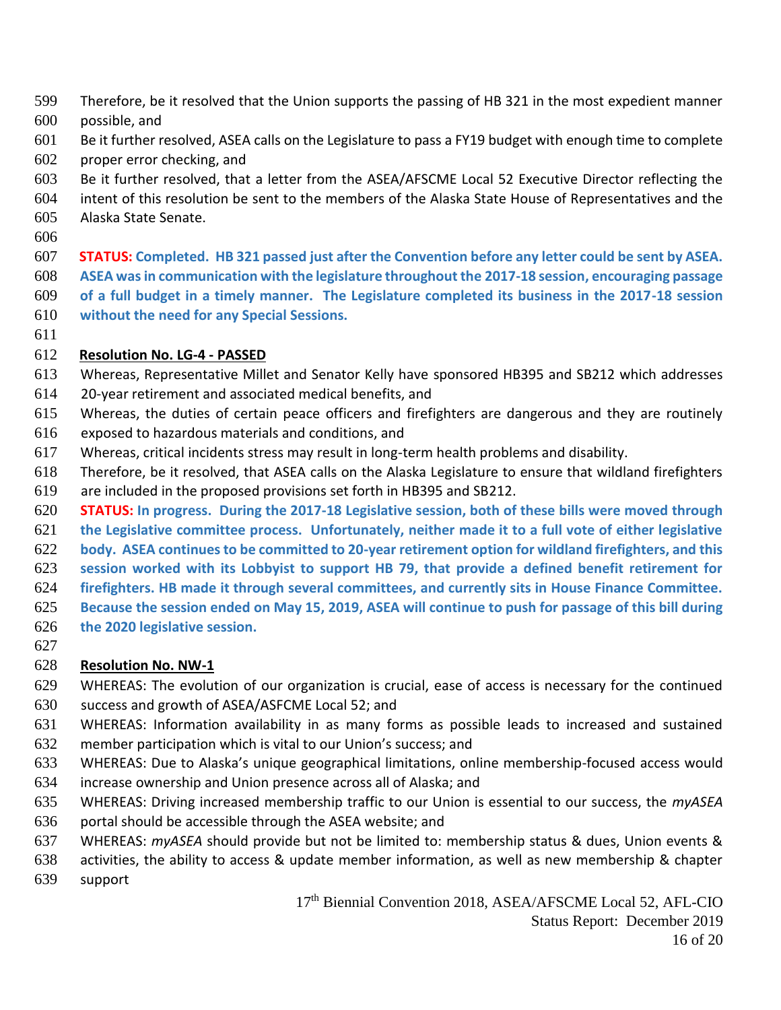- Therefore, be it resolved that the Union supports the passing of HB 321 in the most expedient manner
- possible, and
- Be it further resolved, ASEA calls on the Legislature to pass a FY19 budget with enough time to complete proper error checking, and
- Be it further resolved, that a letter from the ASEA/AFSCME Local 52 Executive Director reflecting the
- intent of this resolution be sent to the members of the Alaska State House of Representatives and the Alaska State Senate.
- 

 **STATUS: Completed. HB 321 passed just after the Convention before any letter could be sent by ASEA. ASEA was in communication with the legislature throughout the 2017-18 session, encouraging passage of a full budget in a timely manner. The Legislature completed its business in the 2017-18 session without the need for any Special Sessions.**

### **Resolution No. LG-4 - PASSED**

- Whereas, Representative Millet and Senator Kelly have sponsored HB395 and SB212 which addresses
- 20-year retirement and associated medical benefits, and
- Whereas, the duties of certain peace officers and firefighters are dangerous and they are routinely
- exposed to hazardous materials and conditions, and
- Whereas, critical incidents stress may result in long-term health problems and disability.
- Therefore, be it resolved, that ASEA calls on the Alaska Legislature to ensure that wildland firefighters
- are included in the proposed provisions set forth in HB395 and SB212.
- **STATUS: In progress. During the 2017-18 Legislative session, both of these bills were moved through**
- **the Legislative committee process. Unfortunately, neither made it to a full vote of either legislative**
- **body. ASEA continues to be committed to 20-year retirement option for wildland firefighters, and this**
- **session worked with its Lobbyist to support HB 79, that provide a defined benefit retirement for**
- **firefighters. HB made it through several committees, and currently sits in House Finance Committee.**
- **Because the session ended on May 15, 2019, ASEA will continue to push for passage of this bill during**
- **the 2020 legislative session.**
- 

## **Resolution No. NW-1**

- WHEREAS: The evolution of our organization is crucial, ease of access is necessary for the continued
- success and growth of ASEA/ASFCME Local 52; and
- WHEREAS: Information availability in as many forms as possible leads to increased and sustained member participation which is vital to our Union's success; and
- WHEREAS: Due to Alaska's unique geographical limitations, online membership-focused access would
- increase ownership and Union presence across all of Alaska; and
- WHEREAS: Driving increased membership traffic to our Union is essential to our success, the *myASEA*
- portal should be accessible through the ASEA website; and
- WHEREAS: *myASEA* should provide but not be limited to: membership status & dues, Union events &
- activities, the ability to access & update member information, as well as new membership & chapter
- support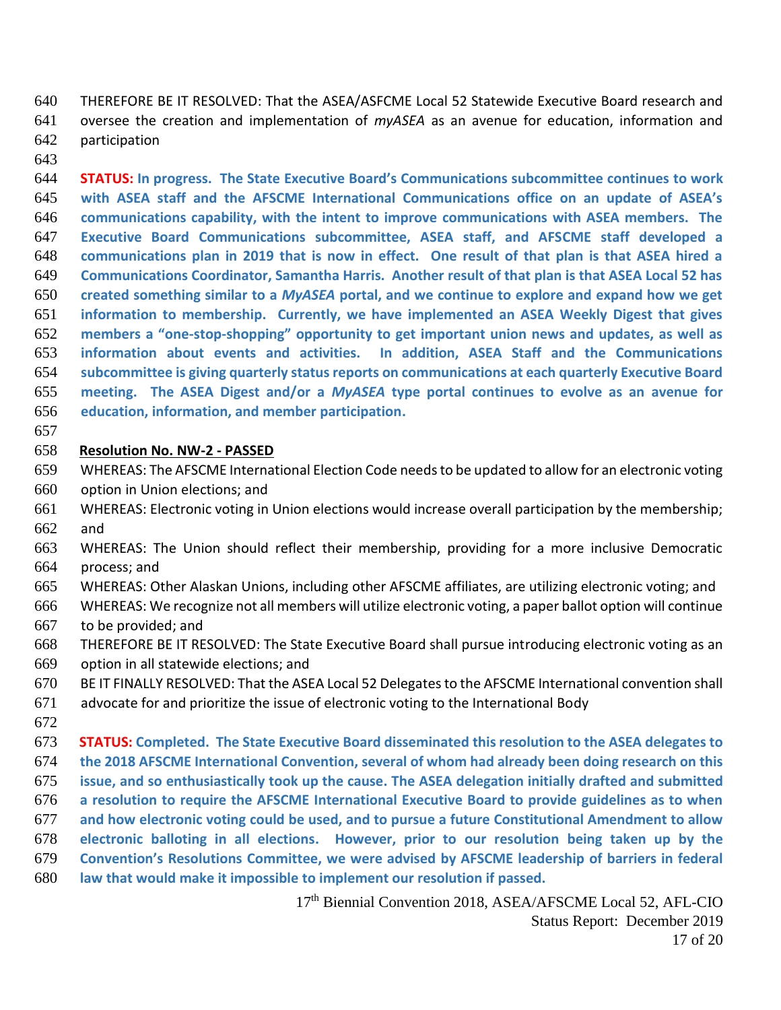THEREFORE BE IT RESOLVED: That the ASEA/ASFCME Local 52 Statewide Executive Board research and oversee the creation and implementation of *myASEA* as an avenue for education, information and participation

 **STATUS: In progress. The State Executive Board's Communications subcommittee continues to work with ASEA staff and the AFSCME International Communications office on an update of ASEA's communications capability, with the intent to improve communications with ASEA members. The Executive Board Communications subcommittee, ASEA staff, and AFSCME staff developed a communications plan in 2019 that is now in effect. One result of that plan is that ASEA hired a Communications Coordinator, Samantha Harris. Another result of that plan is that ASEA Local 52 has created something similar to a** *MyASEA* **portal, and we continue to explore and expand how we get information to membership. Currently, we have implemented an ASEA Weekly Digest that gives members a "one-stop-shopping" opportunity to get important union news and updates, as well as information about events and activities. In addition, ASEA Staff and the Communications subcommittee is giving quarterly status reports on communications at each quarterly Executive Board meeting. The ASEA Digest and/or a** *MyASEA* **type portal continues to evolve as an avenue for education, information, and member participation.**

#### **Resolution No. NW-2 - PASSED**

- WHEREAS: The AFSCME International Election Code needs to be updated to allow for an electronic voting option in Union elections; and
- WHEREAS: Electronic voting in Union elections would increase overall participation by the membership; and
- WHEREAS: The Union should reflect their membership, providing for a more inclusive Democratic process; and
- WHEREAS: Other Alaskan Unions, including other AFSCME affiliates, are utilizing electronic voting; and
- WHEREAS: We recognize not all members will utilize electronic voting, a paper ballot option will continue to be provided; and
- THEREFORE BE IT RESOLVED: The State Executive Board shall pursue introducing electronic voting as an option in all statewide elections; and
- BE IT FINALLY RESOLVED: That the ASEA Local 52 Delegates to the AFSCME International convention shall
- advocate for and prioritize the issue of electronic voting to the International Body
- 
- **STATUS: Completed. The State Executive Board disseminated this resolution to the ASEA delegates to the 2018 AFSCME International Convention, several of whom had already been doing research on this issue, and so enthusiastically took up the cause. The ASEA delegation initially drafted and submitted a resolution to require the AFSCME International Executive Board to provide guidelines as to when and how electronic voting could be used, and to pursue a future Constitutional Amendment to allow electronic balloting in all elections. However, prior to our resolution being taken up by the Convention's Resolutions Committee, we were advised by AFSCME leadership of barriers in federal law that would make it impossible to implement our resolution if passed.**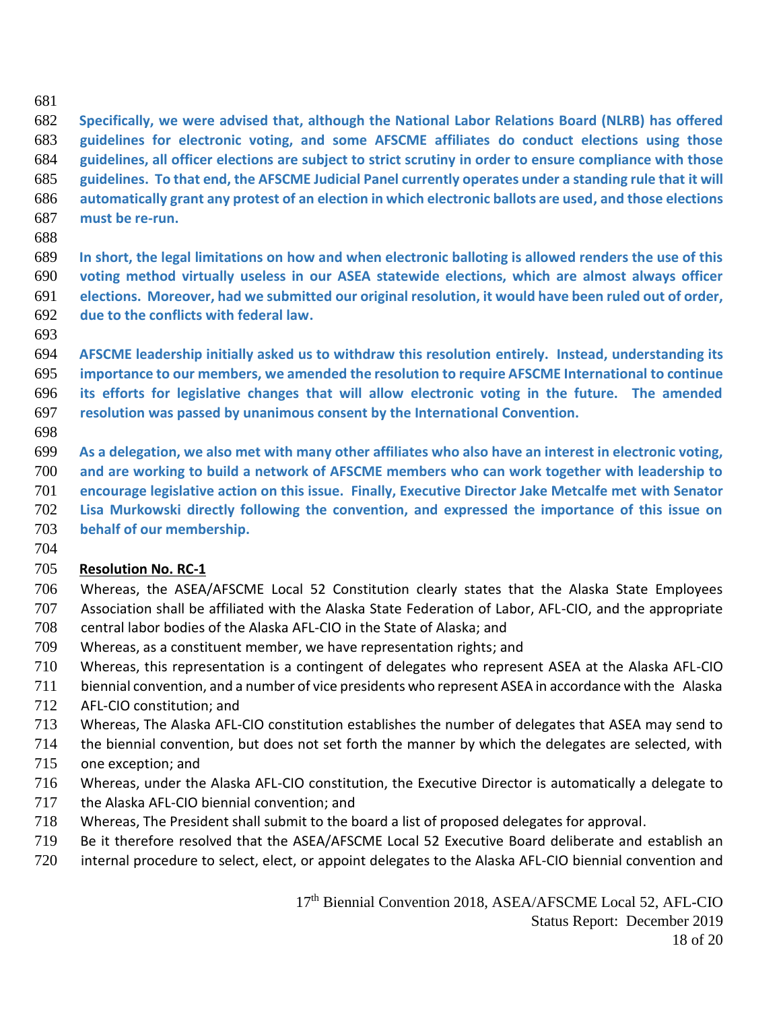#### 

 **Specifically, we were advised that, although the National Labor Relations Board (NLRB) has offered guidelines for electronic voting, and some AFSCME affiliates do conduct elections using those guidelines, all officer elections are subject to strict scrutiny in order to ensure compliance with those guidelines. To that end, the AFSCME Judicial Panel currently operates under a standing rule that it will automatically grant any protest of an election in which electronic ballots are used, and those elections must be re-run.**

 **In short, the legal limitations on how and when electronic balloting is allowed renders the use of this voting method virtually useless in our ASEA statewide elections, which are almost always officer elections. Moreover, had we submitted our original resolution, it would have been ruled out of order, due to the conflicts with federal law.**

 **AFSCME leadership initially asked us to withdraw this resolution entirely. Instead, understanding its importance to our members, we amended the resolution to require AFSCME International to continue its efforts for legislative changes that will allow electronic voting in the future. The amended resolution was passed by unanimous consent by the International Convention.**

 **As a delegation, we also met with many other affiliates who also have an interest in electronic voting, and are working to build a network of AFSCME members who can work together with leadership to encourage legislative action on this issue. Finally, Executive Director Jake Metcalfe met with Senator Lisa Murkowski directly following the convention, and expressed the importance of this issue on behalf of our membership.**

## **Resolution No. RC-1**

- Whereas, the ASEA/AFSCME Local 52 Constitution clearly states that the Alaska State Employees Association shall be affiliated with the Alaska State Federation of Labor, AFL-CIO, and the appropriate central labor bodies of the Alaska AFL-CIO in the State of Alaska; and
- Whereas, as a constituent member, we have representation rights; and
- Whereas, this representation is a contingent of delegates who represent ASEA at the Alaska AFL-CIO
- biennial convention, and a number of vice presidents who represent ASEA in accordance with the Alaska
- AFL-CIO constitution; and
- Whereas, The Alaska AFL-CIO constitution establishes the number of delegates that ASEA may send to
- the biennial convention, but does not set forth the manner by which the delegates are selected, with one exception; and
- Whereas, under the Alaska AFL-CIO constitution, the Executive Director is automatically a delegate to
	- the Alaska AFL-CIO biennial convention; and
	- Whereas, The President shall submit to the board a list of proposed delegates for approval.
	- Be it therefore resolved that the ASEA/AFSCME Local 52 Executive Board deliberate and establish an
	- internal procedure to select, elect, or appoint delegates to the Alaska AFL-CIO biennial convention and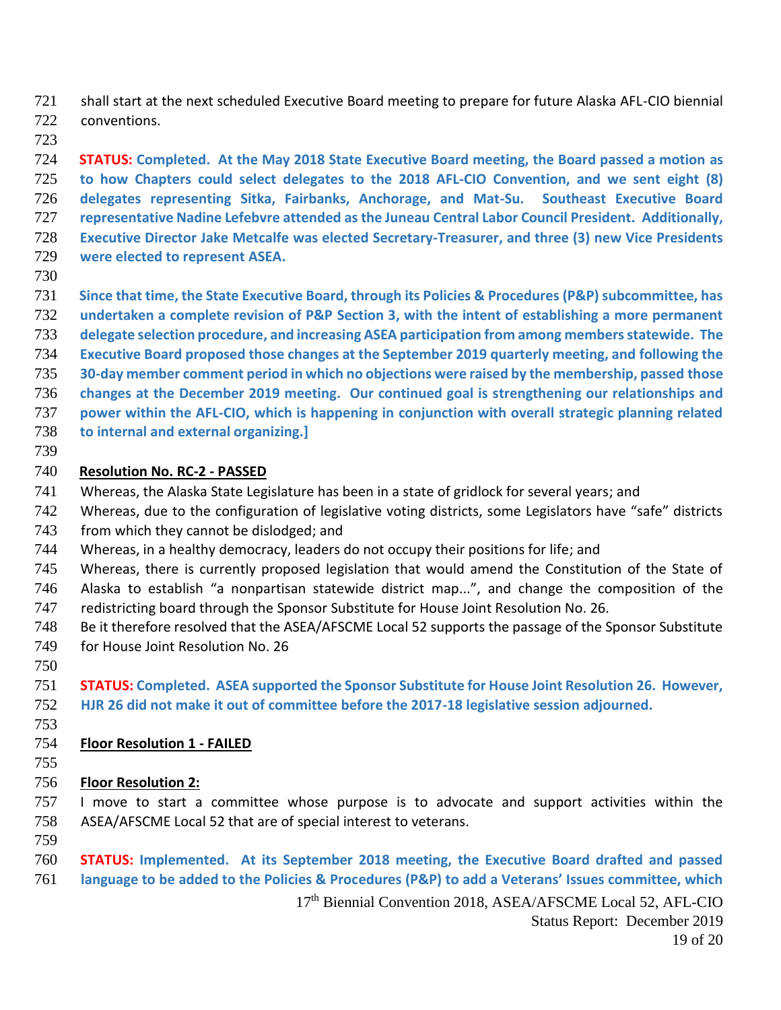shall start at the next scheduled Executive Board meeting to prepare for future Alaska AFL-CIO biennial conventions.

 **STATUS: Completed. At the May 2018 State Executive Board meeting, the Board passed a motion as to how Chapters could select delegates to the 2018 AFL-CIO Convention, and we sent eight (8) delegates representing Sitka, Fairbanks, Anchorage, and Mat-Su. Southeast Executive Board representative Nadine Lefebvre attended as the Juneau Central Labor Council President. Additionally, Executive Director Jake Metcalfe was elected Secretary-Treasurer, and three (3) new Vice Presidents were elected to represent ASEA.**

- 
- **Since that time, the State Executive Board, through its Policies & Procedures (P&P) subcommittee, has**
- **undertaken a complete revision of P&P Section 3, with the intent of establishing a more permanent**
- **delegate selection procedure, and increasing ASEA participation from among members statewide. The**
- **Executive Board proposed those changes at the September 2019 quarterly meeting, and following the**
- **30-day member comment period in which no objections were raised by the membership, passed those changes at the December 2019 meeting. Our continued goal is strengthening our relationships and**
- **power within the AFL-CIO, which is happening in conjunction with overall strategic planning related**
- **to internal and external organizing.]**
- 

### **Resolution No. RC-2 - PASSED**

- Whereas, the Alaska State Legislature has been in a state of gridlock for several years; and
- Whereas, due to the configuration of legislative voting districts, some Legislators have "safe" districts
- 743 from which they cannot be dislodged; and
- Whereas, in a healthy democracy, leaders do not occupy their positions for life; and
- Whereas, there is currently proposed legislation that would amend the Constitution of the State of
- Alaska to establish "a nonpartisan statewide district map...", and change the composition of the
- redistricting board through the Sponsor Substitute for House Joint Resolution No. 26.
- Be it therefore resolved that the ASEA/AFSCME Local 52 supports the passage of the Sponsor Substitute for House Joint Resolution No. 26
- 

 **STATUS: Completed. ASEA supported the Sponsor Substitute for House Joint Resolution 26. However, HJR 26 did not make it out of committee before the 2017-18 legislative session adjourned.**

## **Floor Resolution 1 - FAILED**

## **Floor Resolution 2:**

 I move to start a committee whose purpose is to advocate and support activities within the ASEA/AFSCME Local 52 that are of special interest to veterans.

- 
- **STATUS: Implemented. At its September 2018 meeting, the Executive Board drafted and passed language to be added to the Policies & Procedures (P&P) to add a Veterans' Issues committee, which**

th Biennial Convention 2018, ASEA/AFSCME Local 52, AFL-CIO